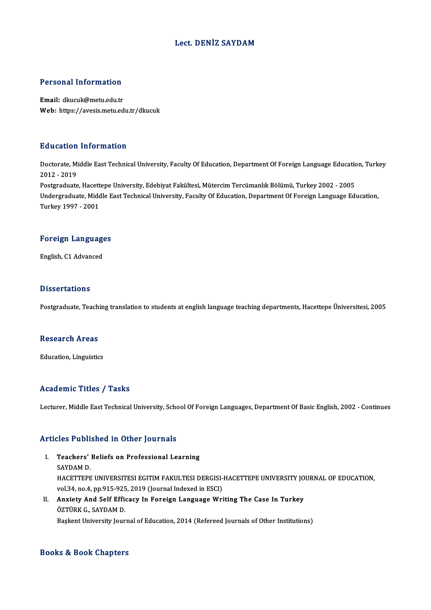### Lect. DENİZ SAYDAM

#### Personal Information

Email: dkucuk@metu.edu.tr Web: https://avesis.metu.edu.tr/dkucuk

#### Education Information

**Education Information**<br>Doctorate, Middle East Technical University, Faculty Of Education, Department Of Foreign Language Education, Turkey<br>2012 - 2019 2012 -2019<br>2012 - 2019<br>Postaraduata Doctorate, Middle East Technical University, Faculty Of Education, Department Of Foreign Language Education<br>2012 - 2019<br>Postgraduate, Hacettepe University, Edebiyat Fakültesi, Mütercim Tercümanlık Bölümü, Turkey 2002 - 200

2012 - 2019<br>Postgraduate, Hacettepe University, Edebiyat Fakültesi, Mütercim Tercümanlık Bölümü, Turkey 2002 - 2005<br>Undergraduate, Middle East Technical University, Faculty Of Education, Department Of Foreign Language Educ Postgraduate, Hacett<br>Undergraduate, Midc<br>Turkey 1997 - 2001

## Turkey 1997 - 2001<br>Foreign Languages F<mark>oreign Languag</mark>e<br>English, C1 Advanced

English, C1 Advanced<br>Dissertations

Postgraduate, Teaching translation to students at english language teaching departments, Hacettepe Üniversitesi, 2005

#### Research Areas

Education, Linguistics

#### Academic Titles / Tasks

Lecturer, Middle East Technical University, School Of Foreign Languages, Department Of Basic English, 2002 - Continues

#### Articles Published in Other Journals

- rticles Published in Other Journals<br>I. Teachers' Beliefs on Professional Learning<br>SAVDAM D Teachers'<br>Teachers'<br>SAYDAM D. Teachers' Beliefs on Professional Learning<br>SAYDAM D.<br>HACETTEPE UNIVERSITESI EGITIM FAKULTESI DERGISI-HACETTEPE UNIVERSITY JOURNAL OF EDUCATION,<br>vol 34, no.4, np.915,925, 3019 (Journal Indoved in ESC). SAYDAM D.<br>HACETTEPE UNIVERSITESI EGITIM FAKULTESI DERGISI-<br>vol.34, no.4, pp.915-925, 2019 (Journal Indexed in ESCI)<br>Anviety And Self Efficesy In Eoreism Language Wri vol.34, no.4, pp.915-925, 2019 (Journal Indexed in ESCI)
- II. Anxiety And Self Efficacy In Foreign Language Writing The Case In Turkey ÖZTÜRK G., SAYDAM D. Bașkent University Journal of Education, 2014 (Refereed Journals of Other Institutions)

#### Books&Book Chapters